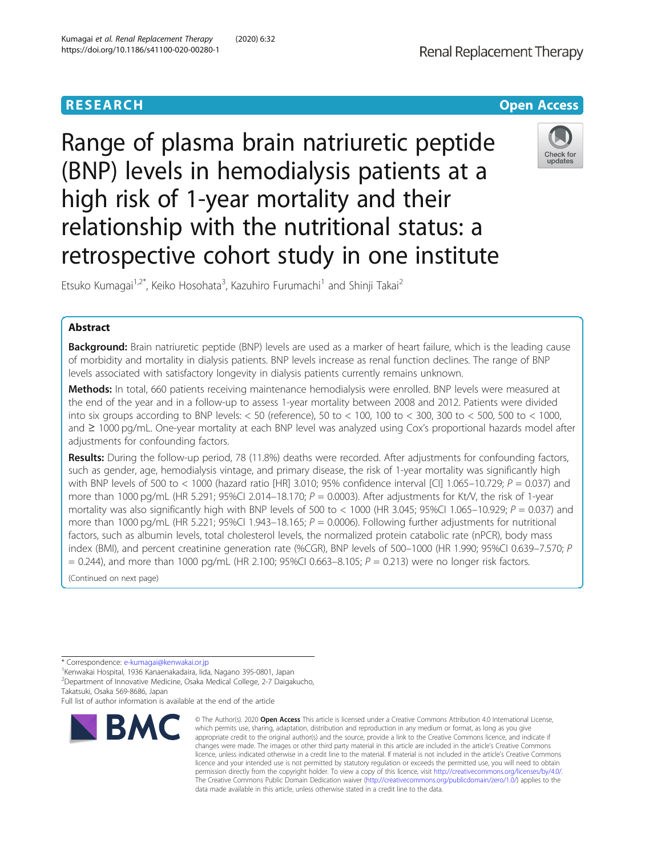# Range of plasma brain natriuretic peptide (BNP) levels in hemodialysis patients at a high risk of 1-year mortality and their relationship with the nutritional status: a retrospective cohort study in one institute

Etsuko Kumagai<sup>1,2\*</sup>, Keiko Hosohata<sup>3</sup>, Kazuhiro Furumachi<sup>1</sup> and Shinji Takai<sup>2</sup>

# Abstract

Background: Brain natriuretic peptide (BNP) levels are used as a marker of heart failure, which is the leading cause of morbidity and mortality in dialysis patients. BNP levels increase as renal function declines. The range of BNP levels associated with satisfactory longevity in dialysis patients currently remains unknown.

Methods: In total, 660 patients receiving maintenance hemodialysis were enrolled. BNP levels were measured at the end of the year and in a follow-up to assess 1-year mortality between 2008 and 2012. Patients were divided into six groups according to BNP levels: < 50 (reference), 50 to < 100, 100 to < 300, 300 to < 500, 500 to < 1000, and ≥ 1000 pg/mL. One-year mortality at each BNP level was analyzed using Cox's proportional hazards model after adjustments for confounding factors.

Results: During the follow-up period, 78 (11.8%) deaths were recorded. After adjustments for confounding factors, such as gender, age, hemodialysis vintage, and primary disease, the risk of 1-year mortality was significantly high with BNP levels of 500 to < 1000 (hazard ratio [HR] 3.010; 95% confidence interval [CI] 1.065–10.729;  $P = 0.037$ ) and more than 1000 pg/mL (HR 5.291; 95%CI 2.014–18.170;  $P = 0.0003$ ). After adjustments for Kt/V, the risk of 1-year mortality was also significantly high with BNP levels of 500 to  $<$  1000 (HR 3.045; 95%Cl 1.065–10.929;  $P = 0.037$ ) and more than 1000 pg/mL (HR 5.221; 95%CI 1.943–18.165;  $P = 0.0006$ ). Following further adjustments for nutritional factors, such as albumin levels, total cholesterol levels, the normalized protein catabolic rate (nPCR), body mass index (BMI), and percent creatinine generation rate (%CGR), BNP levels of 500–1000 (HR 1.990; 95%CI 0.639–7.570; P  $= 0.244$ ), and more than 1000 pg/mL (HR 2.100; 95%CI 0.663-8.105;  $P = 0.213$ ) were no longer risk factors.

(Continued on next page)

Full list of author information is available at the end of the article

# Kumagai et al. Renal Replacement Therapy (2020) 6:32 https://doi.org/10.1186/s41100-020-00280-1

**RESEARCH CHINESE ARCH CHINESE ARCHITECT ARCHITECT ARCHITECT ARCHITECT ARCHITECT ARCHITECT ARCHITECT ARCHITECT ARCHITECT ARCHITECT ARCHITECT ARCHITECT ARCHITECT ARCHITECT ARCHITECT ARCHITECT ARCHITECT ARCHITECT ARCHITE** 

© The Author(s), 2020 **Open Access** This article is licensed under a Creative Commons Attribution 4.0 International License,



Check for undates





<sup>\*</sup> Correspondence: [e-kumagai@kenwakai.or.jp](mailto:e-kumagai@kenwakai.or.jp) <sup>1</sup>

<sup>&</sup>lt;sup>1</sup>Kenwakai Hospital, 1936 Kanaenakadaira, Iida, Nagano 395-0801, Japan 2 Department of Innovative Medicine, Osaka Medical College, 2-7 Daigakucho, Takatsuki, Osaka 569-8686, Japan

**BMC** which permits use, sharing, adaptation, distribution and reproduction in any medium or format, as long as you give appropriate credit to the original author(s) and the source, provide a link to the Creative Commons licence, and indicate if changes were made. The images or other third party material in this article are included in the article's Creative Commons licence, unless indicated otherwise in a credit line to the material. If material is not included in the article's Creative Commons licence and your intended use is not permitted by statutory regulation or exceeds the permitted use, you will need to obtain permission directly from the copyright holder. To view a copy of this licence, visit [http://creativecommons.org/licenses/by/4.0/.](http://creativecommons.org/licenses/by/4.0/) The Creative Commons Public Domain Dedication waiver [\(http://creativecommons.org/publicdomain/zero/1.0/](http://creativecommons.org/publicdomain/zero/1.0/)) applies to the data made available in this article, unless otherwise stated in a credit line to the data.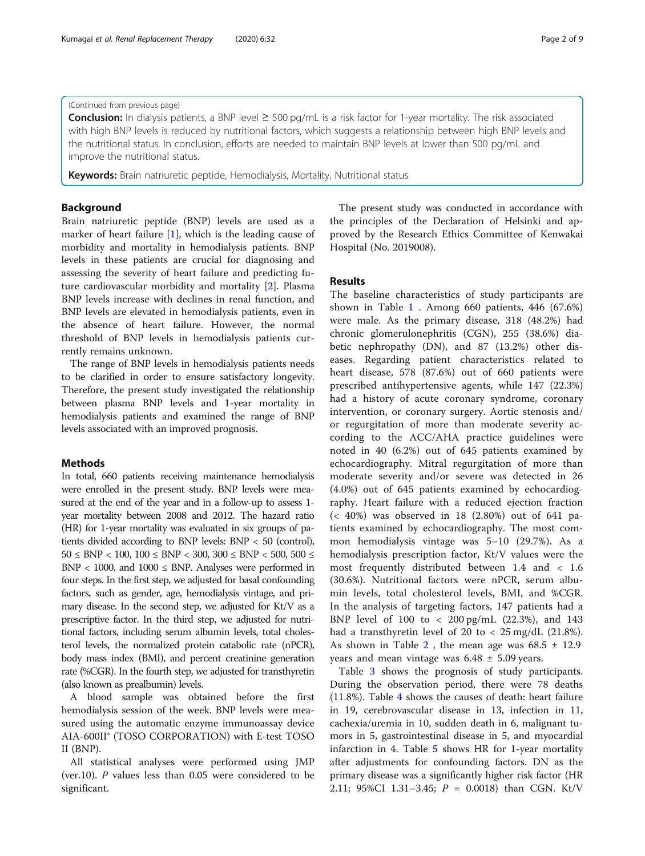#### (Continued from previous page)

**Conclusion:** In dialysis patients, a BNP level  $\geq 500$  pg/mL is a risk factor for 1-year mortality. The risk associated with high BNP levels is reduced by nutritional factors, which suggests a relationship between high BNP levels and the nutritional status. In conclusion, efforts are needed to maintain BNP levels at lower than 500 pg/mL and improve the nutritional status.

Keywords: Brain natriuretic peptide, Hemodialysis, Mortality, Nutritional status

#### Background

Brain natriuretic peptide (BNP) levels are used as a marker of heart failure [\[1](#page-8-0)], which is the leading cause of morbidity and mortality in hemodialysis patients. BNP levels in these patients are crucial for diagnosing and assessing the severity of heart failure and predicting future cardiovascular morbidity and mortality [\[2](#page-8-0)]. Plasma BNP levels increase with declines in renal function, and BNP levels are elevated in hemodialysis patients, even in the absence of heart failure. However, the normal threshold of BNP levels in hemodialysis patients currently remains unknown.

The range of BNP levels in hemodialysis patients needs to be clarified in order to ensure satisfactory longevity. Therefore, the present study investigated the relationship between plasma BNP levels and 1-year mortality in hemodialysis patients and examined the range of BNP levels associated with an improved prognosis.

#### **Methods**

In total, 660 patients receiving maintenance hemodialysis were enrolled in the present study. BNP levels were measured at the end of the year and in a follow-up to assess 1 year mortality between 2008 and 2012. The hazard ratio (HR) for 1-year mortality was evaluated in six groups of patients divided according to BNP levels: BNP < 50 (control),  $50 \leq BNP < 100$ ,  $100 \leq BNP < 300$ ,  $300 \leq BNP < 500$ ,  $500 \leq$  $BNP < 1000$ , and  $1000 \leq BNP$ . Analyses were performed in four steps. In the first step, we adjusted for basal confounding factors, such as gender, age, hemodialysis vintage, and primary disease. In the second step, we adjusted for Kt/V as a prescriptive factor. In the third step, we adjusted for nutritional factors, including serum albumin levels, total cholesterol levels, the normalized protein catabolic rate (nPCR), body mass index (BMI), and percent creatinine generation rate (%CGR). In the fourth step, we adjusted for transthyretin (also known as prealbumin) levels.

A blood sample was obtained before the first hemodialysis session of the week. BNP levels were measured using the automatic enzyme immunoassay device AIA-600II® (TOSO CORPORATION) with E-test TOSO II (BNP).

All statistical analyses were performed using JMP (ver.10). P values less than 0.05 were considered to be significant.

The present study was conducted in accordance with the principles of the Declaration of Helsinki and approved by the Research Ethics Committee of Kenwakai Hospital (No. 2019008).

### Results

The baseline characteristics of study participants are shown in Table  $1$ . Among 660 patients, 446 (67.6%) were male. As the primary disease, 318 (48.2%) had chronic glomerulonephritis (CGN), 255 (38.6%) diabetic nephropathy (DN), and 87 (13.2%) other diseases. Regarding patient characteristics related to heart disease, 578 (87.6%) out of 660 patients were prescribed antihypertensive agents, while 147 (22.3%) had a history of acute coronary syndrome, coronary intervention, or coronary surgery. Aortic stenosis and/ or regurgitation of more than moderate severity according to the ACC/AHA practice guidelines were noted in 40 (6.2%) out of 645 patients examined by echocardiography. Mitral regurgitation of more than moderate severity and/or severe was detected in 26 (4.0%) out of 645 patients examined by echocardiography. Heart failure with a reduced ejection fraction (< 40%) was observed in 18 (2.80%) out of 641 patients examined by echocardiography. The most common hemodialysis vintage was 5–10 (29.7%). As a hemodialysis prescription factor, Kt/V values were the most frequently distributed between 1.4 and < 1.6 (30.6%). Nutritional factors were nPCR, serum albumin levels, total cholesterol levels, BMI, and %CGR. In the analysis of targeting factors, 147 patients had a BNP level of 100 to < 200 pg/mL (22.3%), and 143 had a transthyretin level of 20 to  $\langle$  25 mg/dL (21.8%). As shown in Table [2](#page-3-0), the mean age was  $68.5 \pm 12.9$ years and mean vintage was  $6.48 \pm 5.09$  years.

Table [3](#page-3-0) shows the prognosis of study participants. During the observation period, there were 78 deaths (11.8%). Table [4](#page-3-0) shows the causes of death: heart failure in 19, cerebrovascular disease in 13, infection in 11, cachexia/uremia in 10, sudden death in 6, malignant tumors in 5, gastrointestinal disease in 5, and myocardial infarction in 4. Table [5](#page-4-0) shows HR for 1-year mortality after adjustments for confounding factors. DN as the primary disease was a significantly higher risk factor (HR 2.11; 95%CI 1.31-3.45;  $P = 0.0018$ ) than CGN. Kt/V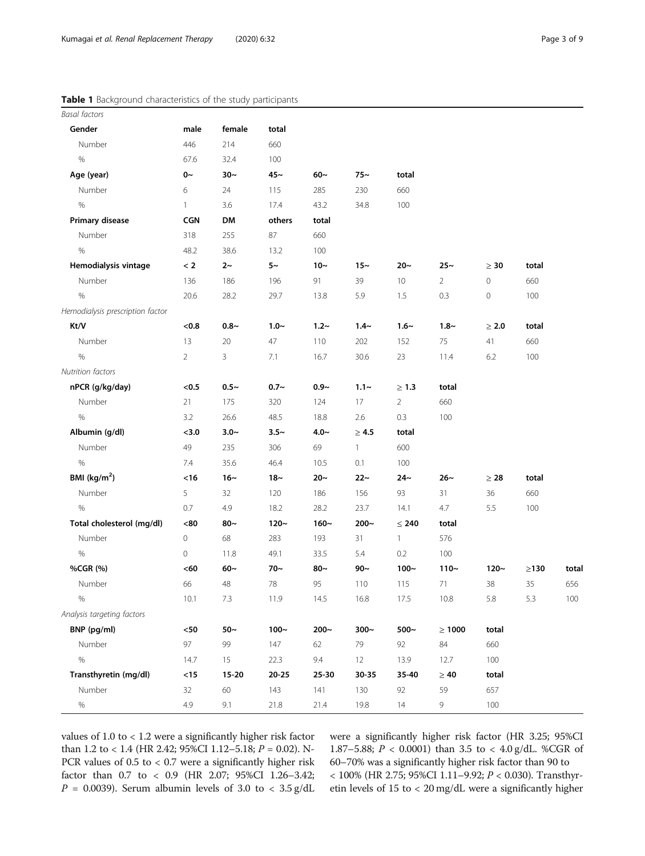## <span id="page-2-0"></span>Table 1 Background characteristics of the study participants

| <b>Basal factors</b>             |                |           |           |         |              |                |                |                     |            |         |
|----------------------------------|----------------|-----------|-----------|---------|--------------|----------------|----------------|---------------------|------------|---------|
| Gender                           | male           | female    | total     |         |              |                |                |                     |            |         |
| Number                           | 446            | 214       | 660       |         |              |                |                |                     |            |         |
| $\%$                             | 67.6           | 32.4      | 100       |         |              |                |                |                     |            |         |
| Age (year)                       | $0~\sim$       | $30-$     | $45-$     | $60-$   | $75-$        | total          |                |                     |            |         |
| Number                           | 6              | 24        | 115       | 285     | 230          | 660            |                |                     |            |         |
| $\%$                             | $\mathbf{1}$   | 3.6       | 17.4      | 43.2    | 34.8         | 100            |                |                     |            |         |
| Primary disease                  | <b>CGN</b>     | DM        | others    | total   |              |                |                |                     |            |         |
| Number                           | 318            | 255       | 87        | 660     |              |                |                |                     |            |         |
| $\%$                             | 48.2           | 38.6      | 13.2      | 100     |              |                |                |                     |            |         |
| Hemodialysis vintage             | < 2            | $2~\sim$  | $5~\sim$  | $10-$   | $15-$        | $20-$          | $25 -$         | $\geq 30$           | total      |         |
| Number                           | 136            | 186       | 196       | 91      | 39           | $10$           | $\overline{2}$ | $\mathsf{O}\xspace$ | 660        |         |
| %                                | 20.6           | 28.2      | 29.7      | 13.8    | 5.9          | 1.5            | 0.3            | $\mathsf{O}\xspace$ | 100        |         |
| Hemodialysis prescription factor |                |           |           |         |              |                |                |                     |            |         |
| Kt/V                             | <0.8           | $0.8 -$   | $1.0 -$   | $1.2 -$ | $1.4 -$      | $1.6-$         | $1.8 -$        | $\geq 2.0$          | total      |         |
| Number                           | 13             | 20        | 47        | 110     | 202          | 152            | 75             | 41                  | 660        |         |
| $\%$                             | $\overline{2}$ | 3         | 7.1       | 16.7    | 30.6         | 23             | 11.4           | 6.2                 | 100        |         |
| Nutrition factors                |                |           |           |         |              |                |                |                     |            |         |
| nPCR (g/kg/day)                  | < 0.5          | $0.5 -$   | $0.7 -$   | $0.9 -$ | $1.1 -$      | $\geq 1.3$     | total          |                     |            |         |
| Number                           | 21             | 175       | 320       | 124     | 17           | $\overline{2}$ | 660            |                     |            |         |
| $\%$                             | 3.2            | 26.6      | 48.5      | 18.8    | 2.6          | $0.3\,$        | 100            |                     |            |         |
| Albumin (g/dl)                   | < 3.0          | $3.0 -$   | $3.5 -$   | $4.0 -$ | $\geq 4.5$   | total          |                |                     |            |         |
| Number                           | 49             | 235       | 306       | 69      | $\mathbf{1}$ | 600            |                |                     |            |         |
| %                                | 7.4            | 35.6      | 46.4      | 10.5    | 0.1          | 100            |                |                     |            |         |
| BMI ( $kg/m2$ )                  | <16            | $16-$     | $18-$     | $20 -$  | $22 -$       | 24∼            | $26-$          | $\geq 28$           | total      |         |
| Number                           | 5              | 32        | 120       | 186     | 156          | 93             | 31             | 36                  | 660        |         |
| $\%$                             | 0.7            | 4.9       | 18.2      | 28.2    | 23.7         | 14.1           | 4.7            | 5.5                 | 100        |         |
| Total cholesterol (mg/dl)        | $< 80$         | $80-$     | $120 -$   | $160 -$ | $200 -$      | $\leq 240$     | total          |                     |            |         |
| Number                           | $\mathbf 0$    | 68        | 283       | 193     | 31           | $\mathbf{1}$   | 576            |                     |            |         |
| $\%$                             | $\mathbf 0$    | 11.8      | 49.1      | 33.5    | 5.4          | $0.2\,$        | 100            |                     |            |         |
| %CGR (%)                         | <60            | $60-$     | $70-$     | $80-$   | $90 -$       | $100 -$        | $110 -$        | $120 -$             | $\geq$ 130 | total   |
| Number                           | 66             | 48        | 78        | 95      | 110          | 115            | 71             | 38                  | 35         | 656     |
| $\%$                             | 10.1           | 7.3       | 11.9      | 14.5    | 16.8         | 17.5           | 10.8           | 5.8                 | 5.3        | $100\,$ |
| Analysis targeting factors       |                |           |           |         |              |                |                |                     |            |         |
| BNP (pg/ml)                      | $< 50$         | $50-$     | $100-$    | $200 -$ | $300-$       | 500 $\sim$     | $\geq 1000$    | total               |            |         |
| Number                           | 97             | 99        | $147$     | 62      | 79           | 92             | 84             | 660                 |            |         |
| $\%$                             | 14.7           | 15        | 22.3      | 9.4     | 12           | 13.9           | 12.7           | 100                 |            |         |
| Transthyretin (mg/dl)            | $<15$          | $15 - 20$ | $20 - 25$ | 25-30   | 30-35        | 35-40          | $\geq 40$      | total               |            |         |
| Number                           | 32             | $60\,$    | 143       | 141     | 130          | 92             | 59             | 657                 |            |         |
| $\%$                             | 4.9            | 9.1       | 21.8      | 21.4    | 19.8         | $14\,$         | 9              | 100                 |            |         |

values of 1.0 to < 1.2 were a significantly higher risk factor than 1.2 to < 1.4 (HR 2.42; 95%CI 1.12–5.18; P = 0.02). N-PCR values of 0.5 to < 0.7 were a significantly higher risk factor than 0.7 to < 0.9 (HR 2.07; 95%CI 1.26–3.42;  $P = 0.0039$ ). Serum albumin levels of 3.0 to < 3.5 g/dL were a significantly higher risk factor (HR 3.25; 95%CI 1.87–5.88; P < 0.0001) than 3.5 to < 4.0 g/dL. %CGR of 60–70% was a significantly higher risk factor than 90 to  $< 100\%$  (HR 2.75; 95%CI 1.11–9.92;  $P < 0.030$  ). Transthyretin levels of 15 to < 20 mg/dL were a significantly higher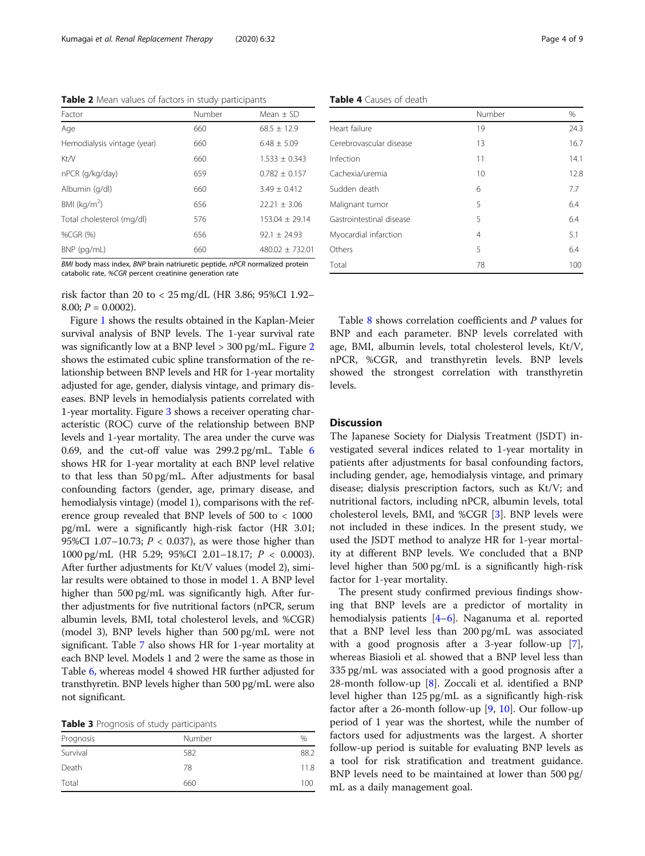<span id="page-3-0"></span>Table 2 Mean values of factors in study participants

| Factor                      | Number | Mean $\pm$ SD     |
|-----------------------------|--------|-------------------|
| Age                         | 660    | $68.5 \pm 12.9$   |
| Hemodialysis vintage (year) | 660    | $6.48 + 5.09$     |
| Kt/V                        | 660    | $1.533 + 0.343$   |
| nPCR (g/kg/day)             | 659    | $0.782 + 0.157$   |
| Albumin (g/dl)              | 660    | $3.49 + 0.412$    |
| BMI $(kq/m2)$               | 656    | $22.21 \pm 3.06$  |
| Total cholesterol (mg/dl)   | 576    | $153.04 + 29.14$  |
| %CGR (%)                    | 656    | $92.1 + 24.93$    |
| BNP (pg/mL)                 | 660    | $480.02 + 732.01$ |

BMI body mass index, BNP brain natriuretic peptide, nPCR normalized protein catabolic rate, %CGR percent creatinine generation rate

risk factor than 20 to < 25 mg/dL (HR 3.86; 95%CI 1.92– 8.00;  $P = 0.0002$ ).

Figure [1](#page-5-0) shows the results obtained in the Kaplan-Meier survival analysis of BNP levels. The 1-year survival rate was significantly low at a BNP level > 300 pg/mL. Figure [2](#page-5-0) shows the estimated cubic spline transformation of the relationship between BNP levels and HR for 1-year mortality adjusted for age, gender, dialysis vintage, and primary diseases. BNP levels in hemodialysis patients correlated with 1-year mortality. Figure [3](#page-6-0) shows a receiver operating characteristic (ROC) curve of the relationship between BNP levels and 1-year mortality. The area under the curve was 0.69, and the cut-off value was 299.2 pg/mL. Table [6](#page-6-0) shows HR for 1-year mortality at each BNP level relative to that less than 50 pg/mL. After adjustments for basal confounding factors (gender, age, primary disease, and hemodialysis vintage) (model 1), comparisons with the reference group revealed that BNP levels of 500 to < 1000 pg/mL were a significantly high-risk factor (HR 3.01; 95%CI 1.07-10.73;  $P < 0.037$ ), as were those higher than 1000 pg/mL (HR 5.29; 95%CI 2.01–18.17; P < 0.0003). After further adjustments for Kt/V values (model 2), similar results were obtained to those in model 1. A BNP level higher than 500 pg/mL was significantly high. After further adjustments for five nutritional factors (nPCR, serum albumin levels, BMI, total cholesterol levels, and %CGR) (model 3), BNP levels higher than 500 pg/mL were not significant. Table [7](#page-7-0) also shows HR for 1-year mortality at each BNP level. Models 1 and 2 were the same as those in Table [6,](#page-6-0) whereas model 4 showed HR further adjusted for transthyretin. BNP levels higher than 500 pg/mL were also not significant.

| Table 3 Prognosis of study participants |  |  |  |
|-----------------------------------------|--|--|--|
|-----------------------------------------|--|--|--|

|           | $-1$<br>. . |               |
|-----------|-------------|---------------|
| Prognosis | Number      | $\frac{0}{0}$ |
| Survival  | 582         | 88.2          |
| Death     | 78          | 11.8          |
| Total     | 660         | 100           |

|                          | Number | %    |
|--------------------------|--------|------|
| Heart failure            | 19     | 24.3 |
| Cerebrovascular disease  | 13     | 16.7 |
| Infection                | 11     | 14.1 |
| Cachexia/uremia          | 10     | 12.8 |
| Sudden death             | 6      | 7.7  |
| Malignant tumor          | 5      | 6.4  |
| Gastrointestinal disease | 5      | 6.4  |
| Myocardial infarction    | 4      | 5.1  |
| Others                   | 5      | 6.4  |
| Total                    | 78     | 100  |

Table [8](#page-7-0) shows correlation coefficients and P values for BNP and each parameter. BNP levels correlated with age, BMI, albumin levels, total cholesterol levels, Kt/V, nPCR, %CGR, and transthyretin levels. BNP levels showed the strongest correlation with transthyretin levels.

#### **Discussion**

The Japanese Society for Dialysis Treatment (JSDT) investigated several indices related to 1-year mortality in patients after adjustments for basal confounding factors, including gender, age, hemodialysis vintage, and primary disease; dialysis prescription factors, such as Kt/V; and nutritional factors, including nPCR, albumin levels, total cholesterol levels, BMI, and %CGR [\[3\]](#page-8-0). BNP levels were not included in these indices. In the present study, we used the JSDT method to analyze HR for 1-year mortality at different BNP levels. We concluded that a BNP level higher than 500 pg/mL is a significantly high-risk factor for 1-year mortality.

The present study confirmed previous findings showing that BNP levels are a predictor of mortality in hemodialysis patients [\[4](#page-8-0)–[6\]](#page-8-0). Naganuma et al. reported that a BNP level less than 200 pg/mL was associated with a good prognosis after a 3-year follow-up [\[7](#page-8-0)], whereas Biasioli et al. showed that a BNP level less than 335 pg/mL was associated with a good prognosis after a 28-month follow-up [[8\]](#page-8-0). Zoccali et al. identified a BNP level higher than 125 pg/mL as a significantly high-risk factor after a 26-month follow-up [[9,](#page-8-0) [10\]](#page-8-0). Our follow-up period of 1 year was the shortest, while the number of factors used for adjustments was the largest. A shorter follow-up period is suitable for evaluating BNP levels as a tool for risk stratification and treatment guidance. BNP levels need to be maintained at lower than 500 pg/ mL as a daily management goal.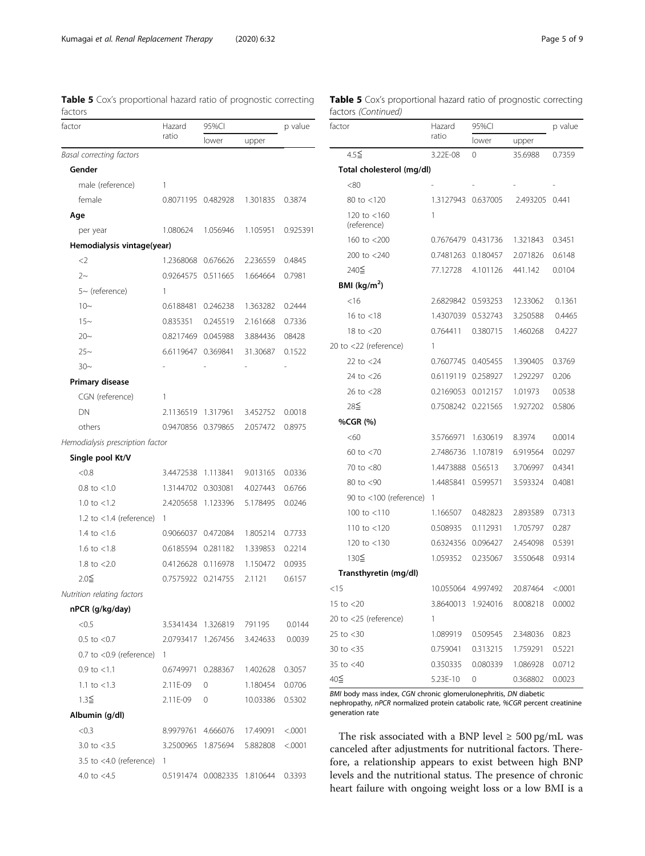| factor                           | Hazard             | 95%CI              | p value  |          |
|----------------------------------|--------------------|--------------------|----------|----------|
|                                  | ratio              | lower              | upper    |          |
| Basal correcting factors         |                    |                    |          |          |
| Gender                           |                    |                    |          |          |
| male (reference)                 | 1                  |                    |          |          |
| female                           | 0.8071195 0.482928 |                    | 1.301835 | 0.3874   |
| Age                              |                    |                    |          |          |
| per year                         | 1.080624           | 1.056946           | 1.105951 | 0.925391 |
| Hemodialysis vintage(year)       |                    |                    |          |          |
| $<$ 2                            | 1.2368068          | 0.676626           | 2.236559 | 0.4845   |
| $2-$                             | 0.9264575          | 0.511665           | 1.664664 | 0.7981   |
| $5-$ (reference)                 | 1                  |                    |          |          |
| $10-$                            | 0.6188481          | 0.246238           | 1.363282 | 0.2444   |
| $15 -$                           | 0.835351           | 0.245519           | 2.161668 | 0.7336   |
| $20 -$                           | 0.8217469          | 0.045988           | 3.884436 | 08428    |
| $25 -$                           | 6.6119647          | 0.369841           | 31.30687 | 0.1522   |
| $30-$                            |                    |                    |          |          |
| Primary disease                  |                    |                    |          |          |
| CGN (reference)                  | 1                  |                    |          |          |
| DΝ                               | 2.1136519          | 1.317961           | 3.452752 | 0.0018   |
| others                           | 0.9470856          | 0.379865           | 2.057472 | 0.8975   |
| Hemodialysis prescription factor |                    |                    |          |          |
| Single pool Kt/V                 |                    |                    |          |          |
| < 0.8                            | 3.4472538          | 1.113841           | 9.013165 | 0.0336   |
| $0.8 \text{ to } < 1.0$          | 1.3144702          | 0.303081           | 4.027443 | 0.6766   |
| 1.0 to $< 1.2$                   | 2.4205658          | 1.123396           | 5.178495 | 0.0246   |
| 1.2 to $<$ 1.4 (reference)       | 1                  |                    |          |          |
| 1.4 to $<$ 1.6                   | 0.9066037          | 0.472084           | 1.805214 | 0.7733   |
| 1.6 to $<$ 1.8                   | 0.6185594 0.281182 |                    | 1.339853 | 0.2214   |
| 1.8 to $< 2.0$                   | 0.4126628          | 0.116978           | 1.150472 | 0.0935   |
| $2.0\leq$                        | 0.7575922          | 0.214755           | 2.1121   | 0.6157   |
| Nutrition relating factors       |                    |                    |          |          |
| nPCR (g/kg/day)                  |                    |                    |          |          |
| < 0.5                            |                    | 3.5341434 1.326819 | 791195   | 0.0144   |
| $0.5$ to $< 0.7$                 |                    | 2.0793417 1.267456 | 3.424633 | 0.0039   |
| $0.7$ to $< 0.9$ (reference)     | 1                  |                    |          |          |
| $0.9$ to $< 1.1$                 | 0.6749971 0.288367 |                    | 1.402628 | 0.3057   |
| 1.1 to $<$ 1.3                   | 2.11E-09           | 0                  | 1.180454 | 0.0706   |
| $1.3\leq$                        | 2.11E-09           | 0                  | 10.03386 | 0.5302   |
| Albumin (g/dl)                   |                    |                    |          |          |
| < 0.3                            | 8.9979761 4.666076 |                    | 17.49091 | < .0001  |
| 3.0 to $<$ 3.5                   | 3.2500965 1.875694 |                    | 5.882808 | < .0001  |
| 3.5 to $<$ 4.0 (reference)       | 1                  |                    |          |          |

4.0 to <4.5 0.5191474 0.0082335 1.810644 0.3393

<span id="page-4-0"></span>

|         |  |  | <b>Table 5</b> Cox's proportional hazard ratio of prognostic correcting |  |
|---------|--|--|-------------------------------------------------------------------------|--|
| factors |  |  |                                                                         |  |

# Table 5 Cox's proportional hazard ratio of prognostic correcting factors (Continued)

| factor                     | Hazard    | 95%CI    | p value        |          |  |
|----------------------------|-----------|----------|----------------|----------|--|
|                            | ratio     | lower    | upper          |          |  |
| $4.5\leq$                  | 3.22E-08  | 0        | 35.6988        | 0.7359   |  |
| Total cholesterol (mg/dl)  |           |          |                |          |  |
| <80                        |           |          |                |          |  |
| 80 to <120                 | 1.3127943 | 0.637005 | 2.493205 0.441 |          |  |
| 120 to <160<br>(reference) | 1         |          |                |          |  |
| 160 to $<$ 200             | 0.7676479 | 0.431736 | 1.321843       | 0.3451   |  |
| 200 to <240                | 0.7481263 | 0.180457 | 2.071826       | 0.6148   |  |
| 240≤                       | 77.12728  | 4.101126 | 441.142        | 0.0104   |  |
| BMI $(kq/m^2)$             |           |          |                |          |  |
| <16                        | 2.6829842 | 0.593253 | 12.33062       | 0.1361   |  |
| 16 to $<$ 18               | 1.4307039 | 0.532743 | 3.250588       | 0.4465   |  |
| 18 to $<$ 20               | 0.764411  | 0.380715 | 1.460268       | 0.4227   |  |
| 20 to <22 (reference)      | 1         |          |                |          |  |
| 22 to $<$ 24               | 0.7607745 | 0.405455 | 1.390405       | 0.3769   |  |
| 24 to $<$ 26               | 0.6119119 | 0.258927 | 1.292297       | 0.206    |  |
| 26 to $<$ 28               | 0.2169053 | 0.012157 | 1.01973        | 0.0538   |  |
| 28≦                        | 0.7508242 | 0.221565 | 1.927202       | 0.5806   |  |
| %CGR (%)                   |           |          |                |          |  |
| <60                        | 3.5766971 | 1.630619 | 8.3974         | 0.0014   |  |
| 60 to $<$ 70               | 2.7486736 | 1.107819 | 6.919564       | 0.0297   |  |
| 70 to <80                  | 1.4473888 | 0.56513  | 3.706997       | 0.4341   |  |
| 80 to <90                  | 1.4485841 | 0.599571 | 3.593324       | 0.4081   |  |
| 90 to $<$ 100 (reference)  | 1         |          |                |          |  |
| 100 to $<$ 110             | 1.166507  | 0.482823 | 2.893589       | 0.7313   |  |
| 110 to $<$ 120             | 0.508935  | 0.112931 | 1.705797       | 0.287    |  |
| 120 to <130                | 0.6324356 | 0.096427 | 2.454098       | 0.5391   |  |
| 130≦                       | 1.059352  | 0.235067 | 3.550648       | 0.9314   |  |
| Transthyretin (mg/dl)      |           |          |                |          |  |
| <15                        | 10.055064 | 4.997492 | 20.87464       | < 0.0001 |  |
| 15 to $<$ 20               | 3.8640013 | 1.924016 | 8.008218       | 0.0002   |  |
| 20 to <25 (reference)      | 1         |          |                |          |  |
| 25 to $<$ 30               | 1.089919  | 0.509545 | 2.348036       | 0.823    |  |
| 30 to $<$ 35               | 0.759041  | 0.313215 | 1.759291       | 0.5221   |  |
| 35 to <40                  | 0.350335  | 0.080339 | 1.086928       | 0.0712   |  |
| 40≦                        | 5.23E-10  | 0        | 0.368802       | 0.0023   |  |

BMI body mass index, CGN chronic glomerulonephritis, DN diabetic nephropathy, nPCR normalized protein catabolic rate, %CGR percent creatinine generation rate

The risk associated with a BNP level  $\geq 500$  pg/mL was canceled after adjustments for nutritional factors. Therefore, a relationship appears to exist between high BNP levels and the nutritional status. The presence of chronic heart failure with ongoing weight loss or a low BMI is a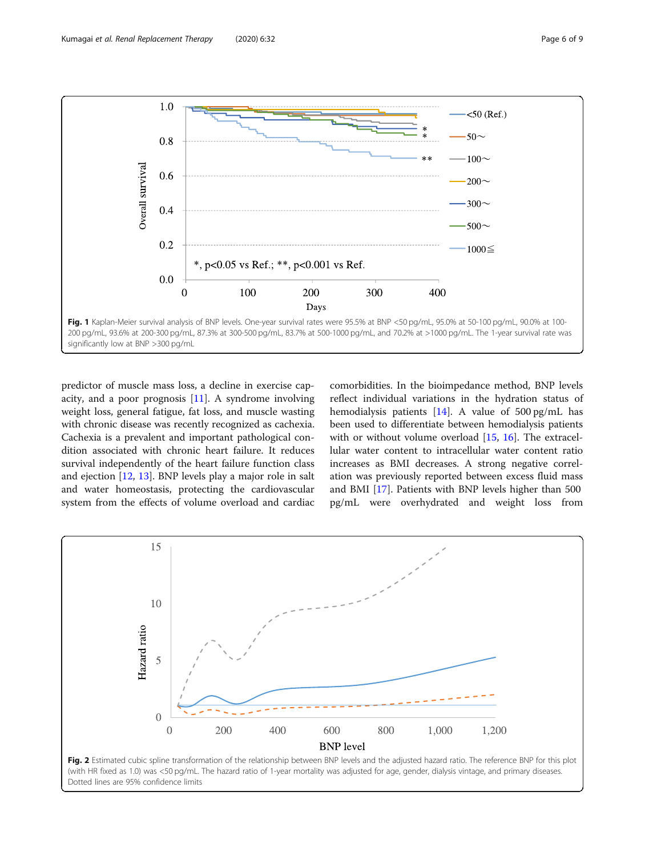<span id="page-5-0"></span>

predictor of muscle mass loss, a decline in exercise capacity, and a poor prognosis  $[11]$  $[11]$ . A syndrome involving weight loss, general fatigue, fat loss, and muscle wasting with chronic disease was recently recognized as cachexia. Cachexia is a prevalent and important pathological condition associated with chronic heart failure. It reduces survival independently of the heart failure function class and ejection [[12,](#page-8-0) [13\]](#page-8-0). BNP levels play a major role in salt and water homeostasis, protecting the cardiovascular system from the effects of volume overload and cardiac comorbidities. In the bioimpedance method, BNP levels reflect individual variations in the hydration status of hemodialysis patients [\[14\]](#page-8-0). A value of 500 pg/mL has been used to differentiate between hemodialysis patients with or without volume overload [\[15,](#page-8-0) [16](#page-8-0)]. The extracellular water content to intracellular water content ratio increases as BMI decreases. A strong negative correlation was previously reported between excess fluid mass and BMI [[17\]](#page-8-0). Patients with BNP levels higher than 500 pg/mL were overhydrated and weight loss from

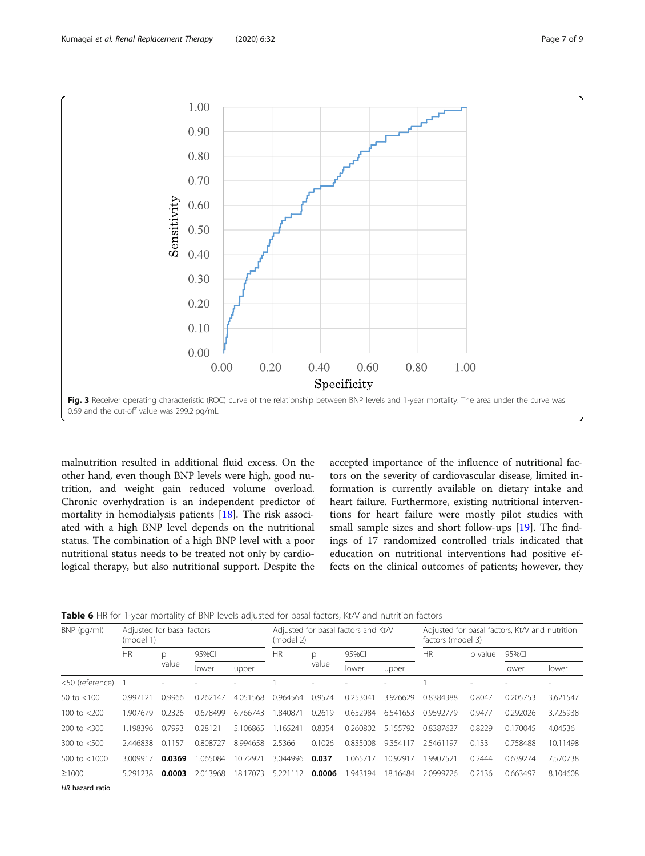<span id="page-6-0"></span>

malnutrition resulted in additional fluid excess. On the other hand, even though BNP levels were high, good nutrition, and weight gain reduced volume overload. Chronic overhydration is an independent predictor of mortality in hemodialysis patients [[18\]](#page-8-0). The risk associated with a high BNP level depends on the nutritional status. The combination of a high BNP level with a poor nutritional status needs to be treated not only by cardiological therapy, but also nutritional support. Despite the

accepted importance of the influence of nutritional factors on the severity of cardiovascular disease, limited information is currently available on dietary intake and heart failure. Furthermore, existing nutritional interventions for heart failure were mostly pilot studies with small sample sizes and short follow-ups [[19](#page-8-0)]. The findings of 17 randomized controlled trials indicated that education on nutritional interventions had positive effects on the clinical outcomes of patients; however, they

| <b>Table 6</b> HR for 1-vear mortality of BNP levels adiusted for basal factors. Kt/V and nutrition factors |  |  |  |  |  |  |  |  |
|-------------------------------------------------------------------------------------------------------------|--|--|--|--|--|--|--|--|
|-------------------------------------------------------------------------------------------------------------|--|--|--|--|--|--|--|--|

| $BNP$ (pg/ml)   | Adjusted for basal factors<br>(model 1) |        |          |               | (model 2) |           | Adjusted for basal factors and Kt/V |          | Adjusted for basal factors, Kt/V and nutrition<br>factors (model 3) |        |          |          |  |
|-----------------|-----------------------------------------|--------|----------|---------------|-----------|-----------|-------------------------------------|----------|---------------------------------------------------------------------|--------|----------|----------|--|
|                 | HR                                      |        | D        | 95%CI         |           | <b>HR</b> | p                                   | 95%CI    |                                                                     | HR     | p value  | 95%CI    |  |
|                 |                                         | value  | lower    | upper         |           | value     | lower                               | upper    |                                                                     |        | lower    | lower    |  |
| <50 (reference) |                                         |        |          |               |           |           |                                     |          |                                                                     |        |          |          |  |
| 50 to $<$ 100   | 0.997121                                | 0.9966 | 0.262147 | 4.051568      | 0.964564  | 0.9574    | 0.25304                             | 3.926629 | 0.8384388                                                           | 0.8047 | 0.205753 | 3.621547 |  |
| 100 to $<$ 200  | 1.907679                                | 0.2326 | 0.678499 | 6.766743      | 1.840871  | 0.2619    | 0.652984                            | 6.541653 | 0.9592779                                                           | 0.9477 | 0.292026 | 3.725938 |  |
| 200 to $<$ 300  | 1.198396                                | 0.7993 | 0.28121  | 5.106865      | 1.165241  | 0.8354    | 0.260802                            | 5.155792 | 0.8387627                                                           | 0.8229 | 0.170045 | 4.04536  |  |
| 300 to $<$ 500  | 2.446838                                | 0.1157 | 0.808727 | 8.994658      | 2.5366    | 0.1026    | 0.835008                            | 9.354117 | 2.5461197                                                           | 0.133  | 0.758488 | 10.11498 |  |
| 500 to $<$ 1000 | 3.009917                                | 0.0369 | 1.065084 | 10.72921      | 3.044996  | 0.037     | 1.065717                            | 10.92917 | .9907521                                                            | 0.2444 | 0.639274 | 7.570738 |  |
| ≥1000           | 5.291238                                | 0.0003 | 2.013968 | 17073<br>18.1 | 5.221112  | 0.0006    | 1.943194                            | 18.16484 | 2.0999726                                                           | 0.2136 | 0.663497 | 8.104608 |  |

HR hazard ratio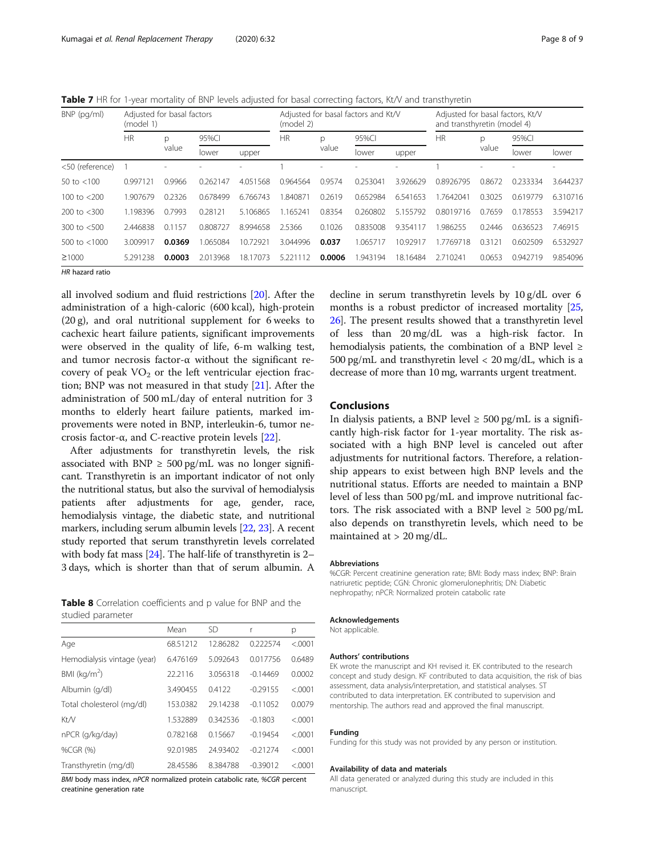<span id="page-7-0"></span>Table 7 HR for 1-year mortality of BNP levels adjusted for basal correcting factors, Kt/V and transthyretin

| BNP (pg/ml)     | Adjusted for basal factors<br>(model 1) |            |          |          | (model 2) |        | Adjusted for basal factors and Kt/V |          |           | Adjusted for basal factors, Kt/V<br>and transthyretin (model 4) |          |          |  |
|-----------------|-----------------------------------------|------------|----------|----------|-----------|--------|-------------------------------------|----------|-----------|-----------------------------------------------------------------|----------|----------|--|
|                 | <b>HR</b>                               | p          | 95%CI    |          | <b>HR</b> | p      | 95%CI                               |          | <b>HR</b> | p                                                               | 95%CI    |          |  |
|                 |                                         | value      | lower    | upper    |           | value  | lower                               | upper    |           | value                                                           | lower    | lower    |  |
| <50 (reference) |                                         |            |          |          |           |        |                                     |          |           |                                                                 |          |          |  |
| 50 to $<$ 100   | 0.997121                                | 0.9966     | 0.262147 | 4.051568 | 0.964564  | 0.9574 | 0.253041                            | 3.926629 | 0.8926795 | 0.8672                                                          | 0.233334 | 3.644237 |  |
| 100 to $<$ 200  | 1.907679                                | 0.2326     | 0.678499 | 6.766743 | 1.840871  | 0.2619 | 0.652984                            | 6.541653 | 1.7642041 | 0.3025                                                          | 0.619779 | 6.310716 |  |
| 200 to $<$ 300  | 1.198396                                | 0.7993     | 0.28121  | 5.106865 | 1.165241  | 0.8354 | 0.260802                            | 5.155792 | 0.8019716 | 0.7659                                                          | 0.178553 | 3.594217 |  |
| 300 to $<$ 500  | 2.446838                                | 157<br>0.1 | 0.808727 | 8.994658 | 2.5366    | 0.1026 | 0.835008                            | 9.354117 | 1.986255  | 0.2446                                                          | 0.636523 | 7.46915  |  |
| 500 to $<$ 1000 | 3.009917                                | 0.0369     | 1.065084 | 10.72921 | 3.044996  | 0.037  | 1.065717                            | 10.92917 | 1.7769718 | 0.3121                                                          | 0.602509 | 6.532927 |  |
| ≥1000           | 5.291238                                | 0.0003     | 2.013968 | 18.17073 | 5.221112  | 0.0006 | 1.943194                            | 18.16484 | 2.710241  | 0.0653                                                          | 0.942719 | 9.854096 |  |

HR hazard ratio

all involved sodium and fluid restrictions [\[20](#page-8-0)]. After the administration of a high-caloric (600 kcal), high-protein (20 g), and oral nutritional supplement for 6 weeks to cachexic heart failure patients, significant improvements were observed in the quality of life, 6-m walking test, and tumor necrosis factor-α without the significant recovery of peak  $VO<sub>2</sub>$  or the left ventricular ejection fraction; BNP was not measured in that study [\[21](#page-8-0)]. After the administration of 500 mL/day of enteral nutrition for 3 months to elderly heart failure patients, marked improvements were noted in BNP, interleukin-6, tumor necrosis factor-α, and C-reactive protein levels  $[22]$ .

After adjustments for transthyretin levels, the risk associated with BNP  $\geq 500$  pg/mL was no longer significant. Transthyretin is an important indicator of not only the nutritional status, but also the survival of hemodialysis patients after adjustments for age, gender, race, hemodialysis vintage, the diabetic state, and nutritional markers, including serum albumin levels [\[22,](#page-8-0) [23](#page-8-0)]. A recent study reported that serum transthyretin levels correlated with body fat mass [\[24](#page-8-0)]. The half-life of transthyretin is 2– 3 days, which is shorter than that of serum albumin. A

Table 8 Correlation coefficients and p value for BNP and the studied parameter

|                             | Mean     | <b>SD</b> | r          | р       |
|-----------------------------|----------|-----------|------------|---------|
| Age                         | 68.51212 | 12.86282  | 0.222574   | < .0001 |
| Hemodialysis vintage (year) | 6.476169 | 5.092643  | 0.017756   | 0.6489  |
| BMI ( $kg/m2$ )             | 22.2116  | 3.056318  | $-0.14469$ | 0.0002  |
| Albumin (g/dl)              | 3.490455 | 0.4122    | $-0.29155$ | < 0.001 |
| Total cholesterol (mg/dl)   | 153.0382 | 29.14238  | $-0.11052$ | 0.0079  |
| Kt/V                        | 1.532889 | 0.342536  | $-0.1803$  | < .0001 |
| nPCR (q/kg/day)             | 0.782168 | 0.15667   | $-0.19454$ | < 0.001 |
| %CGR (%)                    | 92.01985 | 24.93402  | $-0.21274$ | < 0.001 |
| Transthyretin (mg/dl)       | 28.45586 | 8.384788  | $-0.39012$ | < 0.001 |

BMI body mass index, nPCR normalized protein catabolic rate, %CGR percent creatinine generation rate

decline in serum transthyretin levels by 10 g/dL over 6 months is a robust predictor of increased mortality [[25](#page-8-0), [26](#page-8-0)]. The present results showed that a transthyretin level of less than 20 mg/dL was a high-risk factor. In hemodialysis patients, the combination of a BNP level ≥ 500 pg/mL and transthyretin level  $<$  20 mg/dL, which is a decrease of more than 10 mg, warrants urgent treatment.

# Conclusions

In dialysis patients, a BNP level  $\geq 500$  pg/mL is a significantly high-risk factor for 1-year mortality. The risk associated with a high BNP level is canceled out after adjustments for nutritional factors. Therefore, a relationship appears to exist between high BNP levels and the nutritional status. Efforts are needed to maintain a BNP level of less than 500 pg/mL and improve nutritional factors. The risk associated with a BNP level  $\geq 500 \text{ pg/mL}$ also depends on transthyretin levels, which need to be maintained at > 20 mg/dL.

#### Abbreviations

%CGR: Percent creatinine generation rate; BMI: Body mass index; BNP: Brain natriuretic peptide; CGN: Chronic glomerulonephritis; DN: Diabetic nephropathy; nPCR: Normalized protein catabolic rate

#### Acknowledgements

Not applicable.

#### Authors' contributions

EK wrote the manuscript and KH revised it. EK contributed to the research concept and study design. KF contributed to data acquisition, the risk of bias assessment, data analysis/interpretation, and statistical analyses. ST contributed to data interpretation. EK contributed to supervision and mentorship. The authors read and approved the final manuscript.

#### Funding

Funding for this study was not provided by any person or institution.

#### Availability of data and materials

All data generated or analyzed during this study are included in this manuscript.